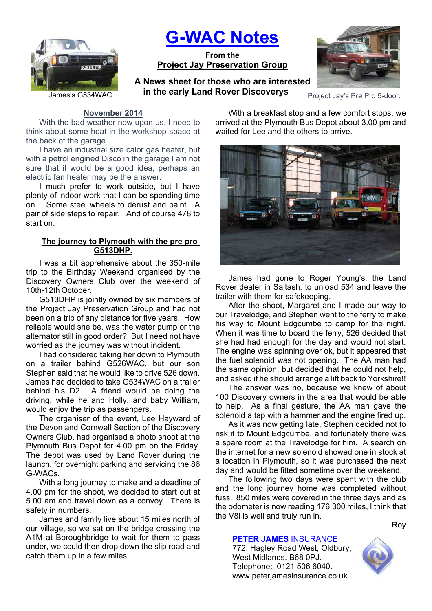

# **G-WAC Notes**

**From the Project Jay Preservation Group**

James's G534WAC **Protocommunity and Nover Discoverys** Project Jay's Pre Pro 5-door. **A News sheet for those who are interested in the early Land Rover Discoverys**



## **November 2014**

With the bad weather now upon us, I need to think about some heat in the workshop space at the back of the garage.

I have an industrial size calor gas heater, but with a petrol engined Disco in the garage I am not sure that it would be a good idea, perhaps an electric fan heater may be the answer.

I much prefer to work outside, but I have plenty of indoor work that I can be spending time on. Some steel wheels to derust and paint. A pair of side steps to repair. And of course 478 to start on.

## **The journey to Plymouth with the pre pro G513DHP.**

I was a bit apprehensive about the 350-mile trip to the Birthday Weekend organised by the Discovery Owners Club over the weekend of 10th-12th October.

G513DHP is jointly owned by six members of the Project Jay Preservation Group and had not been on a trip of any distance for five years. How reliable would she be, was the water pump or the alternator still in good order? But I need not have worried as the journey was without incident.

I had considered taking her down to Plymouth on a trailer behind G526WAC, but our son Stephen said that he would like to drive 526 down. James had decided to take G534WAC on a trailer behind his D2. A friend would be doing the driving, while he and Holly, and baby William, would enjoy the trip as passengers.

The organiser of the event, Lee Hayward of the Devon and Cornwall Section of the Discovery Owners Club, had organised a photo shoot at the Plymouth Bus Depot for 4.00 pm on the Friday. The depot was used by Land Rover during the launch, for overnight parking and servicing the 86 G-WACs.

With a long journey to make and a deadline of 4.00 pm for the shoot, we decided to start out at 5.00 am and travel down as a convoy. There is safety in numbers.

James and family live about 15 miles north of our village, so we sat on the bridge crossing the A1M at Boroughbridge to wait for them to pass under, we could then drop down the slip road and catch them up in a few miles.

With a breakfast stop and a few comfort stops, we arrived at the Plymouth Bus Depot about 3.00 pm and waited for Lee and the others to arrive.



James had gone to Roger Young's, the Land Rover dealer in Saltash, to unload 534 and leave the trailer with them for safekeeping.

After the shoot, Margaret and I made our way to our Travelodge, and Stephen went to the ferry to make his way to Mount Edgcumbe to camp for the night. When it was time to board the ferry, 526 decided that she had had enough for the day and would not start. The engine was spinning over ok, but it appeared that the fuel solenoid was not opening. The AA man had the same opinion, but decided that he could not help, and asked if he should arrange a lift back to Yorkshire!!

The answer was no, because we knew of about 100 Discovery owners in the area that would be able to help. As a final gesture, the AA man gave the solenoid a tap with a hammer and the engine fired up.

As it was now getting late, Stephen decided not to risk it to Mount Edgcumbe, and fortunately there was a spare room at the Travelodge for him. A search on the internet for a new solenoid showed one in stock at a location in Plymouth, so it was purchased the next day and would be fitted sometime over the weekend.

The following two days were spent with the club and the long journey home was completed without fuss. 850 miles were covered in the three days and as the odometer is now reading 176,300 miles, I think that the V8i is well and truly run in.

# **PETER JAMES** INSURANCE.

772, Hagley Road West, Oldbury, West Midlands. B68 0PJ. Telephone: 0121 506 6040. www.peterjamesinsurance.co.uk



Roy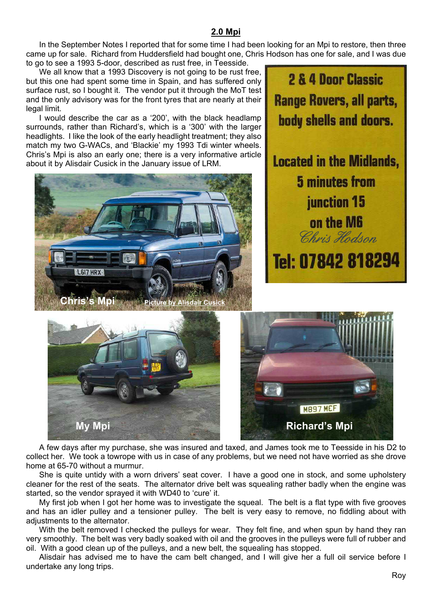# **2.0 Mpi**

In the September Notes I reported that for some time I had been looking for an Mpi to restore, then three came up for sale. Richard from Huddersfield had bought one, Chris Hodson has one for sale, and I was due to go to see a 1993 5-door, described as rust free, in Teesside.

We all know that a 1993 Discovery is not going to be rust free, but this one had spent some time in Spain, and has suffered only surface rust, so I bought it. The vendor put it through the MoT test and the only advisory was for the front tyres that are nearly at their legal limit.

I would describe the car as a '200', with the black headlamp surrounds, rather than Richard's, which is a '300' with the larger headlights. I like the look of the early headlight treatment; they also match my two G-WACs, and 'Blackie' my 1993 Tdi winter wheels. Chris's Mpi is also an early one; there is a very informative article about it by Alisdair Cusick in the January issue of LRM.









A few days after my purchase, she was insured and taxed, and James took me to Teesside in his D2 to collect her. We took a towrope with us in case of any problems, but we need not have worried as she drove home at 65-70 without a murmur.

She is quite untidy with a worn drivers' seat cover. I have a good one in stock, and some upholstery cleaner for the rest of the seats. The alternator drive belt was squealing rather badly when the engine was started, so the vendor sprayed it with WD40 to 'cure' it.

My first job when I got her home was to investigate the squeal. The belt is a flat type with five grooves and has an idler pulley and a tensioner pulley. The belt is very easy to remove, no fiddling about with adiustments to the alternator.

With the belt removed I checked the pulleys for wear. They felt fine, and when spun by hand they ran very smoothly. The belt was very badly soaked with oil and the grooves in the pulleys were full of rubber and oil. With a good clean up of the pulleys, and a new belt, the squealing has stopped.

Alisdair has advised me to have the cam belt changed, and I will give her a full oil service before I undertake any long trips.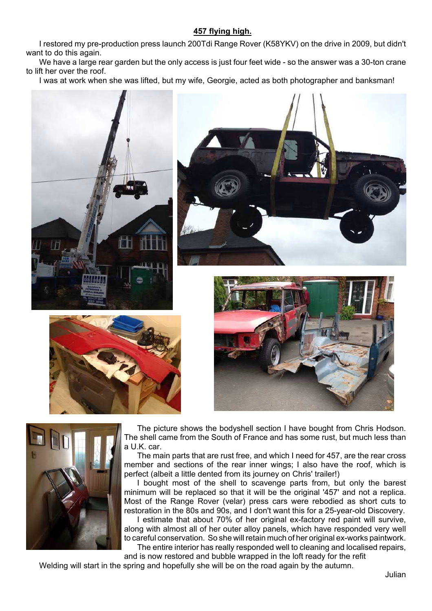## **457 flying high.**

I restored my pre-production press launch 200Tdi Range Rover (K58YKV) on the drive in 2009, but didn't want to do this again.

We have a large rear garden but the only access is just four feet wide - so the answer was a 30-ton crane to lift her over the roof.

I was at work when she was lifted, but my wife, Georgie, acted as both photographer and banksman!











The picture shows the bodyshell section I have bought from Chris Hodson. The shell came from the South of France and has some rust, but much less than a U.K. car.

The main parts that are rust free, and which I need for 457, are the rear cross member and sections of the rear inner wings; I also have the roof, which is perfect (albeit a little dented from its journey on Chris' trailer!)

I bought most of the shell to scavenge parts from, but only the barest minimum will be replaced so that it will be the original '457' and not a replica. Most of the Range Rover (velar) press cars were rebodied as short cuts to restoration in the 80s and 90s, and I don't want this for a 25-year-old Discovery. I estimate that about 70% of her original ex-factory red paint will survive, along with almost all of her outer alloy panels, which have responded very well to careful conservation. So she will retain much of her original ex-works paintwork. The entire interior has really responded well to cleaning and localised repairs,

and is now restored and bubble wrapped in the loft ready for the refit

Welding will start in the spring and hopefully she will be on the road again by the autumn.